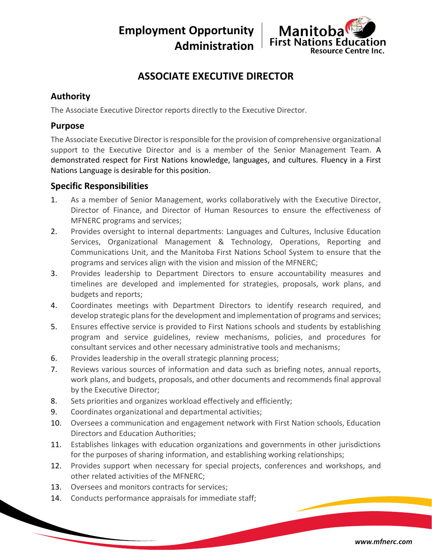**Employment Opportunity Administration**



# **ASSOCIATE EXECUTIVE DIRECTOR**

# **Authority**

The Associate Executive Director reports directly to the Executive Director.

## **Purpose**

The Associate Executive Director is responsible for the provision of comprehensive organizational support to the Executive Director and is a member of the Senior Management Team. A demonstrated respect for First Nations knowledge, languages, and cultures. Fluency in a First Nations Language is desirable for this position.

## **Specific Responsibilities**

- 1. As a member of Senior Management, works collaboratively with the Executive Director, Director of Finance, and Director of Human Resources to ensure the effectiveness of MFNERC programs and services;
- 2. Provides oversight to internal departments: Languages and Cultures, Inclusive Education Services, Organizational Management & Technology, Operations, Reporting and Communications Unit, and the Manitoba First Nations School System to ensure that the programs and services align with the vision and mission of the MFNERC;
- 3. Provides leadership to Department Directors to ensure accountability measures and timelines are developed and implemented for strategies, proposals, work plans, and budgets and reports;
- 4. Coordinates meetings with Department Directors to identify research required, and develop strategic plans for the development and implementation of programs and services;
- 5. Ensures effective service is provided to First Nations schools and students by establishing program and service guidelines, review mechanisms, policies, and procedures for consultant services and other necessary administrative tools and mechanisms;
- 6. Provides leadership in the overall strategic planning process;
- 7. Reviews various sources of information and data such as briefing notes, annual reports, work plans, and budgets, proposals, and other documents and recommends final approval by the Executive Director;
- 8. Sets priorities and organizes workload effectively and efficiently;
- 9. Coordinates organizational and departmental activities;
- 10. Oversees a communication and engagement network with First Nation schools, Education Directors and Education Authorities;
- 11. Establishes linkages with education organizations and governments in other jurisdictions for the purposes of sharing information, and establishing working relationships;
- 12. Provides support when necessary for special projects, conferences and workshops, and other related activities of the MFNERC;
- 13. Oversees and monitors contracts for services;
- 14. Conducts performance appraisals for immediate staff;